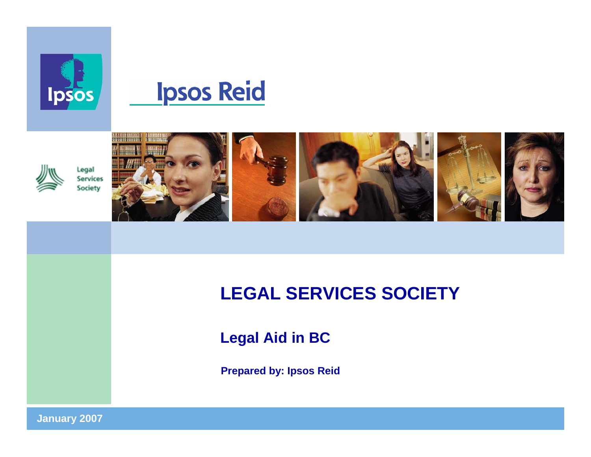





Legal **Services** Society











# **LEGAL SERVICES SOCIETY**

**Legal Aid in BC**

**Prepared by: Ipsos Reid**

**January 2007 <sup>1</sup>**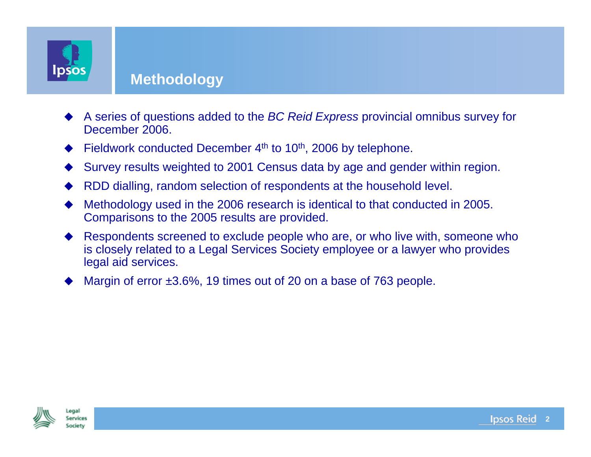

#### **Methodology**

- ♦ A series of questions added to the *BC Reid Express* provincial omnibus survey for December 2006.
- ♦ Fieldwork conducted December 4<sup>th</sup> to 10<sup>th</sup>, 2006 by telephone.
- ♦ Survey results weighted to 2001 Census data by age and gender within region.
- ♦ RDD dialling, random selection of respondents at the household level.
- ♦ Methodology used in the 2006 research is identical to that conducted in 2005. Comparisons to the 2005 results are provided.
- ♦ Respondents screened to exclude people who are, or who live with, someone who is closely related to a Legal Services Society employee or a lawyer who provides legal aid services.
- ♦ Margin of error ±3.6%, 19 times out of 20 on a base of 763 people.



enal **Services** 

**Society** 

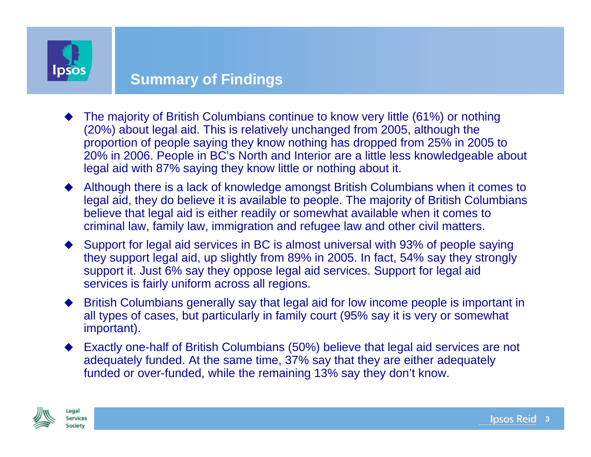

#### **Summary of Findings**

- ♦ The majority of British Columbians continue to know very little (61%) or nothing (20%) about legal aid. This is relatively unchanged from 2005, although the proportion of people saying they know nothing has dropped from 25% in 2005 to 20% in 2006. People in BC's North and Interior are a little less knowledgeable about legal aid with 87% saying they know little or nothing about it.
- Although there is a lack of knowledge amongst British Columbians when it comes to legal aid, they do believe it is available to people. The majority of British Columbians believe that legal aid is either readily or somewhat available when it comes to criminal law, family law, immigration and refugee law and other civil matters.
- Support for legal aid services in BC is almost universal with 93% of people saying they support legal aid, up slightly from 89% in 2005. In fact, 54% say they strongly support it. Just 6% say they oppose legal aid services. Support for legal aid services is fairly uniform across all regions.
- British Columbians generally say that legal aid for low income people is important in all types of cases, but particularly in family court (95% say it is very or somewhat important).
- Exactly one-half of British Columbians (50%) believe that legal aid services are not adequately funded. At the same time, 37% say that they are either adequately funded or over-funded, while the remaining 13% say they don't know.



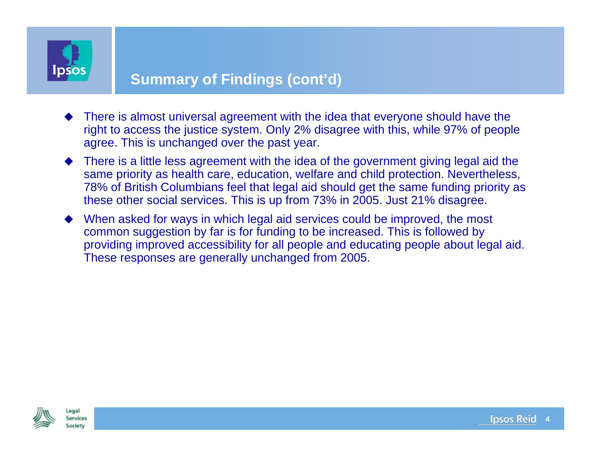

### **Summary of Findings (cont'd)**

- There is almost universal agreement with the idea that everyone should have the right to access the justice system. Only 2% disagree with this, while 97% of people agree. This is unchanged over the past year.
- There is a little less agreement with the idea of the government giving legal aid the same priority as health care, education, welfare and child protection. Nevertheless, 78% of British Columbians feel that legal aid should get the same funding priority as these other social services. This is up from 73% in 2005. Just 21% disagree.
- When asked for ways in which legal aid services could be improved, the most common suggestion by far is for funding to be increased. This is followed by providing improved accessibility for all people and educating people about legal aid. These responses are generally unchanged from 2005.



**Services** 

Society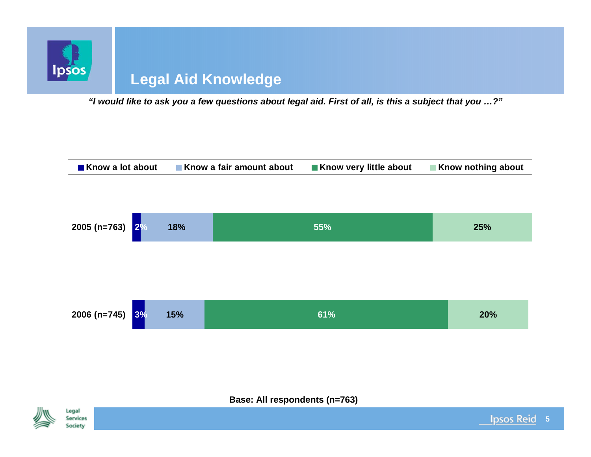

*"I would like to ask you a few questions about legal aid. First of all, is this a subject that you …?"*





Legal **Services** 

Society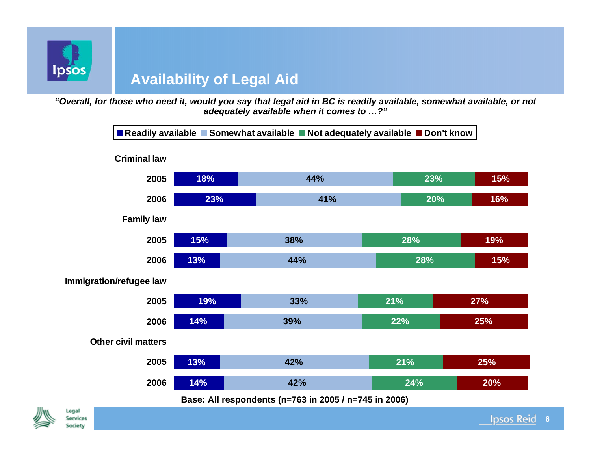

### **Availability of Legal Aid**

*"Overall, for those who need it, would you say that legal aid in BC is readily available, somewhat available, or not adequately available when it comes to …?"*



#### **Base: All respondents (n=763 in 2005 / n=745 in 2006)**

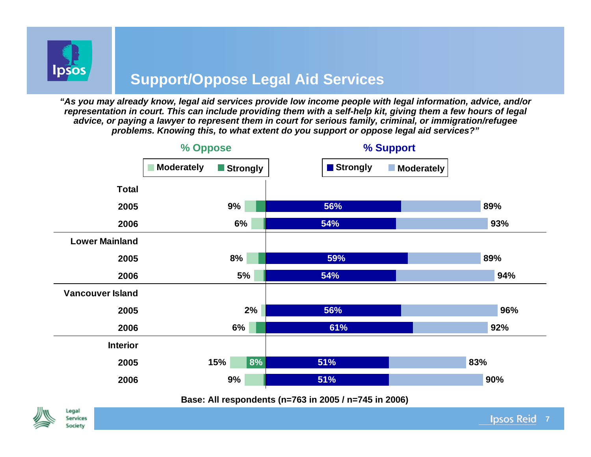

## **Support/Oppose Legal Aid Services**

*"As you may already know, legal aid services provide low income people with legal information, advice, and/or representation in court. This can include providing them with a self-help kit, giving them a few hours of legal advice, or paying a lawyer to represent them in court for serious family, criminal, or immigration/refugee problems. Knowing this, to what extent do you support or oppose legal aid services?"*



**Base: All respondents (n=763 in 2005 / n=745 in 2006)**

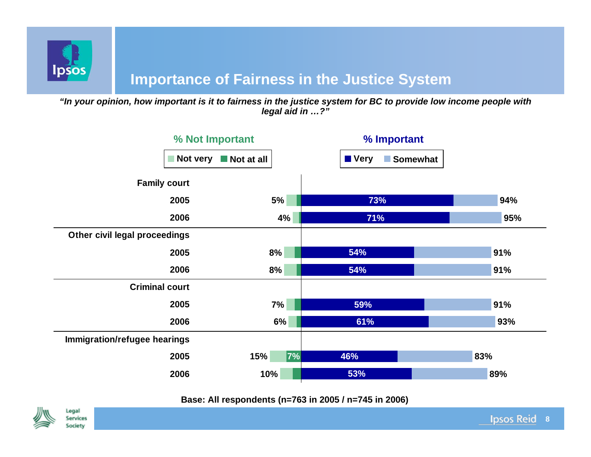

### **Importance of Fairness in the Justice System**

*"In your opinion, how important is it to fairness in the justice system for BC to provide low income people with legal aid in …?"*



#### **Base: All respondents (n=763 in 2005 / n=745 in 2006)**



Legal

**Services** Society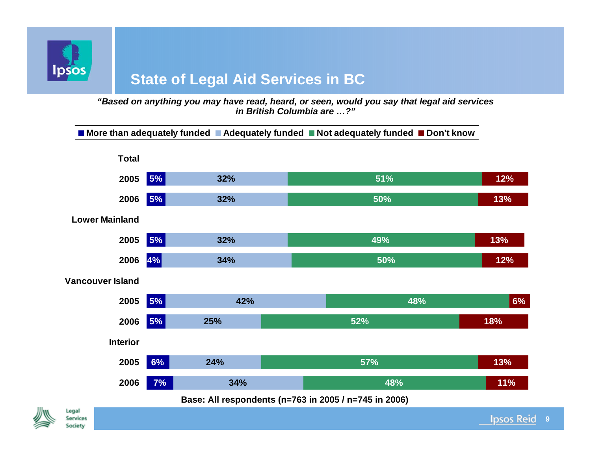

# **State of Legal Aid Services in BC**

*"Based on anything you may have read, heard, or seen, would you say that legal aid services in British Columbia are …?"*



#### **Base: All respondents (n=763 in 2005 / n=745 in 2006)**

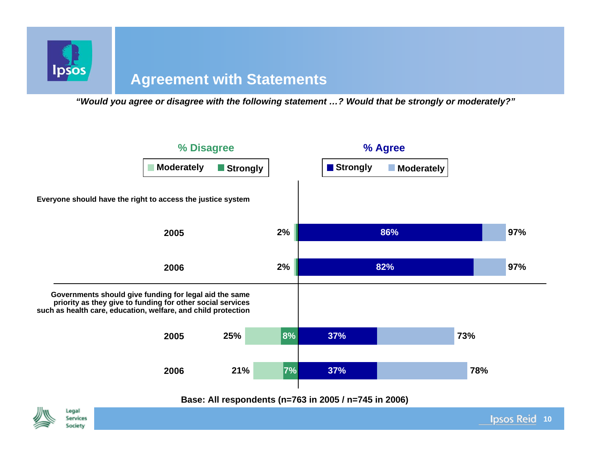

#### **Agreement with Statements**

*"Would you agree or disagree with the following statement …? Would that be strongly or moderately?"*



**10**

**Ipsos Reid** 



Legal

**Services** Society